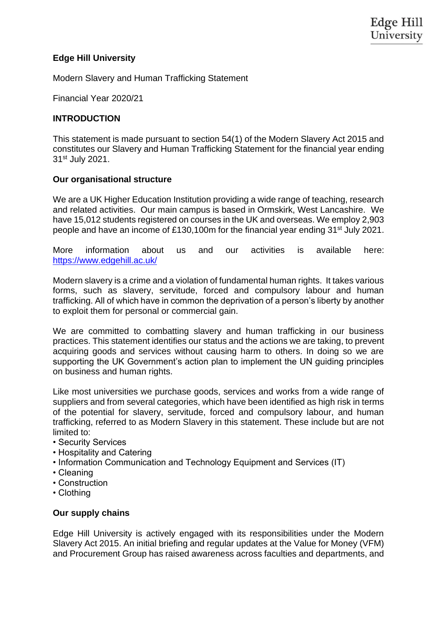## **Edge Hill University**

Modern Slavery and Human Trafficking Statement

Financial Year 2020/21

## **INTRODUCTION**

This statement is made pursuant to section 54(1) of the Modern Slavery Act 2015 and constitutes our Slavery and Human Trafficking Statement for the financial year ending 31st July 2021.

### **Our organisational structure**

We are a UK Higher Education Institution providing a wide range of teaching, research and related activities. Our main campus is based in Ormskirk, West Lancashire. We have 15,012 students registered on courses in the UK and overseas. We employ 2,903 people and have an income of £130,100m for the financial year ending 31st July 2021.

More information about us and our activities is available here: <https://www.edgehill.ac.uk/>

Modern slavery is a crime and a violation of fundamental human rights. It takes various forms, such as slavery, servitude, forced and compulsory labour and human trafficking. All of which have in common the deprivation of a person's liberty by another to exploit them for personal or commercial gain.

We are committed to combatting slavery and human trafficking in our business practices. This statement identifies our status and the actions we are taking, to prevent acquiring goods and services without causing harm to others. In doing so we are supporting the UK Government's action plan to implement the UN guiding principles on business and human rights.

Like most universities we purchase goods, services and works from a wide range of suppliers and from several categories, which have been identified as high risk in terms of the potential for slavery, servitude, forced and compulsory labour, and human trafficking, referred to as Modern Slavery in this statement. These include but are not limited to:

- Security Services
- Hospitality and Catering
- Information Communication and Technology Equipment and Services (IT)
- Cleaning
- Construction
- Clothing

### **Our supply chains**

Edge Hill University is actively engaged with its responsibilities under the Modern Slavery Act 2015. An initial briefing and regular updates at the Value for Money (VFM) and Procurement Group has raised awareness across faculties and departments, and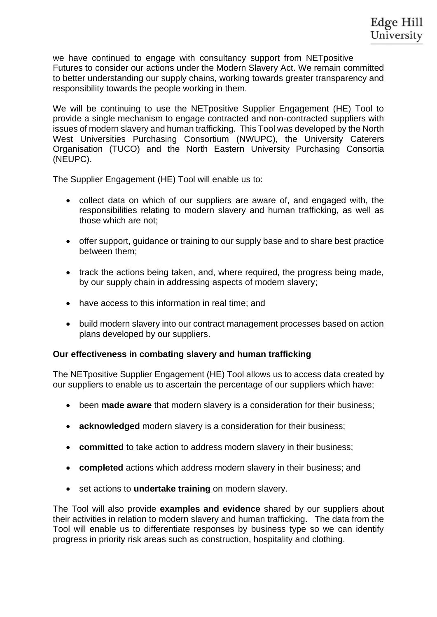we have continued to engage with consultancy support from NETpositive Futures to consider our actions under the Modern Slavery Act. We remain committed to better understanding our supply chains, working towards greater transparency and responsibility towards the people working in them.

We will be continuing to use the NETpositive Supplier Engagement (HE) Tool to provide a single mechanism to engage contracted and non-contracted suppliers with issues of modern slavery and human trafficking. This Tool was developed by the North West Universities Purchasing Consortium (NWUPC), the University Caterers Organisation (TUCO) and the North Eastern University Purchasing Consortia (NEUPC).

The Supplier Engagement (HE) Tool will enable us to:

- collect data on which of our suppliers are aware of, and engaged with, the responsibilities relating to modern slavery and human trafficking, as well as those which are not;
- offer support, guidance or training to our supply base and to share best practice between them;
- track the actions being taken, and, where required, the progress being made, by our supply chain in addressing aspects of modern slavery;
- have access to this information in real time: and
- build modern slavery into our contract management processes based on action plans developed by our suppliers.

### **Our effectiveness in combating slavery and human trafficking**

The NETpositive Supplier Engagement (HE) Tool allows us to access data created by our suppliers to enable us to ascertain the percentage of our suppliers which have:

- been **made aware** that modern slavery is a consideration for their business;
- **acknowledged** modern slavery is a consideration for their business;
- **committed** to take action to address modern slavery in their business;
- **completed** actions which address modern slavery in their business; and
- set actions to **undertake training** on modern slavery.

The Tool will also provide **examples and evidence** shared by our suppliers about their activities in relation to modern slavery and human trafficking. The data from the Tool will enable us to differentiate responses by business type so we can identify progress in priority risk areas such as construction, hospitality and clothing.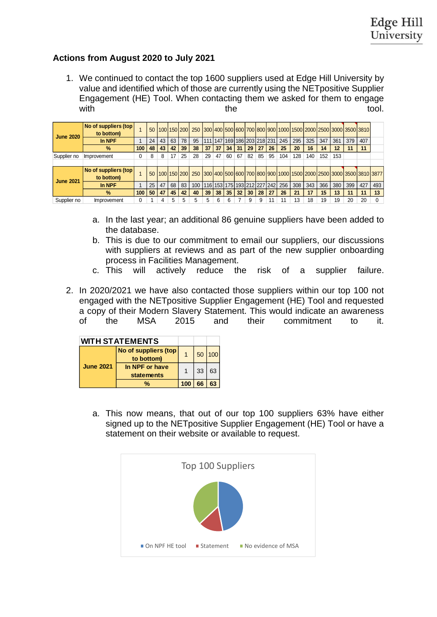# **Actions from August 2020 to July 2021**

1. We continued to contact the top 1600 suppliers used at Edge Hill University by value and identified which of those are currently using the NETpositive Supplier Engagement (HE) Tool. When contacting them we asked for them to engage with the tool.

| <b>June 2020</b> | No of suppliers (top)<br>to bottom) |     | 50 |    |    | 100 150 200 | 250 |     |    |                             |    |    |    |    |                             |     |     | 300 400 500 600 700 800 900 1000 1500 2000 2500 3000 3500 3810                      |     |     |     |     |
|------------------|-------------------------------------|-----|----|----|----|-------------|-----|-----|----|-----------------------------|----|----|----|----|-----------------------------|-----|-----|-------------------------------------------------------------------------------------|-----|-----|-----|-----|
|                  | In NPF                              |     | 24 | 43 | 63 | 78          | 95  | 111 |    |                             |    |    |    |    | 147 169 186 203 218 231 245 | 295 | 325 | 347                                                                                 | 361 | 379 | 407 |     |
|                  | $\%$                                | 100 | 48 | 43 | 42 | 39          | 38  | 37  | 37 | 34                          | 31 | 29 | 27 | 26 | 25                          | 20  | 16  | 14                                                                                  | 12  | 11  | 11  |     |
| Supplier no      | Improvement                         |     | 8  | 8  | 17 | 25          | 28  | 29  | 47 | 60                          | 67 | 82 | 85 | 95 | 104                         | 128 | 140 | 152                                                                                 | 153 |     |     |     |
|                  |                                     |     |    |    |    |             |     |     |    |                             |    |    |    |    |                             |     |     |                                                                                     |     |     |     |     |
| <b>June 2021</b> | No of suppliers (top<br>to bottom)  |     | 50 |    |    |             |     |     |    |                             |    |    |    |    |                             |     |     | 100 150 200 250 300 400 500 600 700 800 900 1000 1500 2000 2500 3000 3500 3810 3877 |     |     |     |     |
|                  | In NPF                              |     | 25 | 47 | 68 | 83          | 100 |     |    | 116 153 175 193 212 227 242 |    |    |    |    | 256                         | 308 | 343 | 366                                                                                 | 380 | 399 | 427 | 493 |
|                  | $\frac{9}{6}$                       | 100 | 50 | 47 | 45 | 42          | 40  | 39  | 38 | 35                          | 32 | 30 | 28 | 27 | 26                          | 21  | 17  | 15                                                                                  | 13  | 11  | 11  | 13  |
| Supplier no      | Improvement                         |     |    | 4  | 5  | 5           |     | 5   | ี  | 6                           |    | 9  | 9  | 11 | 11                          | 13  | 18  | 19                                                                                  | 19  | 20  | 20  |     |

- a. In the last year; an additional 86 genuine suppliers have been added to the database.
- b. This is due to our commitment to email our suppliers, our discussions with suppliers at reviews and as part of the new supplier onboarding process in Facilities Management.
- c. This will actively reduce the risk of a supplier failure.
- 2. In 2020/2021 we have also contacted those suppliers within our top 100 not engaged with the NETpositive Supplier Engagement (HE) Tool and requested a copy of their Modern Slavery Statement. This would indicate an awareness of the MSA 2015 and their commitment to it.

| <b>WITH STATEMENTS</b> |                                     |     |    |     |
|------------------------|-------------------------------------|-----|----|-----|
|                        | No of suppliers (top<br>to bottom)  |     | 50 | 100 |
| <b>June 2021</b>       | In NPF or have<br><b>statements</b> |     | 33 | 63  |
|                        | %                                   | 100 | 66 | 63  |

a. This now means, that out of our top 100 suppliers 63% have either signed up to the NETpositive Supplier Engagement (HE) Tool or have a statement on their website or available to request.

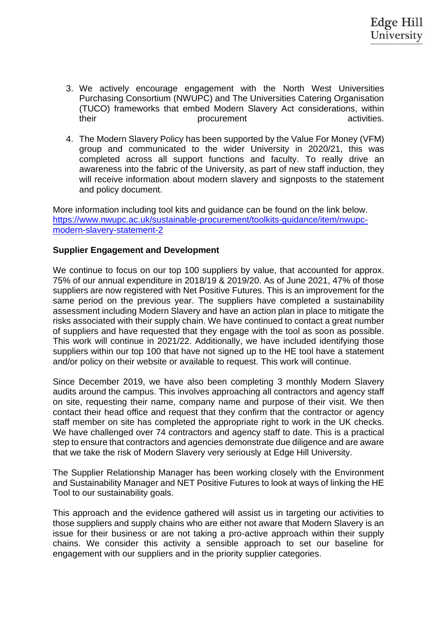- 3. We actively encourage engagement with the North West Universities Purchasing Consortium (NWUPC) and The Universities Catering Organisation (TUCO) frameworks that embed Modern Slavery Act considerations, within their example activities. Their procurement activities.
- 4. The Modern Slavery Policy has been supported by the Value For Money (VFM) group and communicated to the wider University in 2020/21, this was completed across all support functions and faculty. To really drive an awareness into the fabric of the University, as part of new staff induction, they will receive information about modern slavery and signposts to the statement and policy document.

More information including tool kits and guidance can be found on the link below. [https://www.nwupc.ac.uk/sustainable-procurement/toolkits-guidance/item/nwupc](https://www.nwupc.ac.uk/sustainable-procurement/toolkits-guidance/item/nwupc-modern-slavery-statement-2)[modern-slavery-statement-2](https://www.nwupc.ac.uk/sustainable-procurement/toolkits-guidance/item/nwupc-modern-slavery-statement-2)

#### **Supplier Engagement and Development**

We continue to focus on our top 100 suppliers by value, that accounted for approx. 75% of our annual expenditure in 2018/19 & 2019/20. As of June 2021, 47% of those suppliers are now registered with Net Positive Futures. This is an improvement for the same period on the previous year. The suppliers have completed a sustainability assessment including Modern Slavery and have an action plan in place to mitigate the risks associated with their supply chain. We have continued to contact a great number of suppliers and have requested that they engage with the tool as soon as possible. This work will continue in 2021/22. Additionally, we have included identifying those suppliers within our top 100 that have not signed up to the HE tool have a statement and/or policy on their website or available to request. This work will continue.

Since December 2019, we have also been completing 3 monthly Modern Slavery audits around the campus. This involves approaching all contractors and agency staff on site, requesting their name, company name and purpose of their visit. We then contact their head office and request that they confirm that the contractor or agency staff member on site has completed the appropriate right to work in the UK checks. We have challenged over 74 contractors and agency staff to date. This is a practical step to ensure that contractors and agencies demonstrate due diligence and are aware that we take the risk of Modern Slavery very seriously at Edge Hill University.

The Supplier Relationship Manager has been working closely with the Environment and Sustainability Manager and NET Positive Futures to look at ways of linking the HE Tool to our sustainability goals.

This approach and the evidence gathered will assist us in targeting our activities to those suppliers and supply chains who are either not aware that Modern Slavery is an issue for their business or are not taking a pro-active approach within their supply chains. We consider this activity a sensible approach to set our baseline for engagement with our suppliers and in the priority supplier categories.